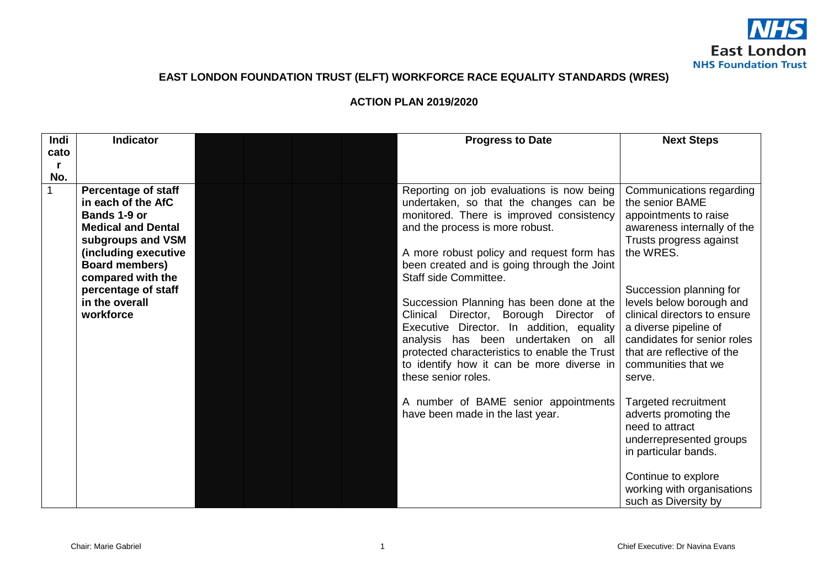

## **EAST LONDON FOUNDATION TRUST (ELFT) WORKFORCE RACE EQUALITY STANDARDS (WRES)**

## **ACTION PLAN 2019/2020**

| <b>Indi</b> | <b>Indicator</b>                                 | <b>Progress to Date</b>                                                              | <b>Next Steps</b>                                         |
|-------------|--------------------------------------------------|--------------------------------------------------------------------------------------|-----------------------------------------------------------|
| cato        |                                                  |                                                                                      |                                                           |
|             |                                                  |                                                                                      |                                                           |
| No.         |                                                  |                                                                                      |                                                           |
|             | <b>Percentage of staff</b><br>in each of the AfC | Reporting on job evaluations is now being                                            | Communications regarding                                  |
|             | Bands 1-9 or                                     | undertaken, so that the changes can be<br>monitored. There is improved consistency   | the senior BAME                                           |
|             | <b>Medical and Dental</b>                        | and the process is more robust.                                                      | appointments to raise<br>awareness internally of the      |
|             | subgroups and VSM                                |                                                                                      | Trusts progress against                                   |
|             | (including executive                             | A more robust policy and request form has                                            | the WRES.                                                 |
|             | <b>Board members)</b>                            | been created and is going through the Joint                                          |                                                           |
|             | compared with the                                | Staff side Committee.                                                                |                                                           |
|             | percentage of staff                              |                                                                                      | Succession planning for                                   |
|             | in the overall                                   | Succession Planning has been done at the                                             | levels below borough and                                  |
|             | workforce                                        | Clinical<br>Director, Borough Director of                                            | clinical directors to ensure                              |
|             |                                                  | Executive Director. In addition, equality                                            | a diverse pipeline of                                     |
|             |                                                  | analysis has been undertaken on all<br>protected characteristics to enable the Trust | candidates for senior roles<br>that are reflective of the |
|             |                                                  | to identify how it can be more diverse in                                            | communities that we                                       |
|             |                                                  | these senior roles.                                                                  | serve.                                                    |
|             |                                                  |                                                                                      |                                                           |
|             |                                                  | A number of BAME senior appointments                                                 | Targeted recruitment                                      |
|             |                                                  | have been made in the last year.                                                     | adverts promoting the                                     |
|             |                                                  |                                                                                      | need to attract                                           |
|             |                                                  |                                                                                      | underrepresented groups                                   |
|             |                                                  |                                                                                      | in particular bands.                                      |
|             |                                                  |                                                                                      |                                                           |
|             |                                                  |                                                                                      | Continue to explore<br>working with organisations         |
|             |                                                  |                                                                                      | such as Diversity by                                      |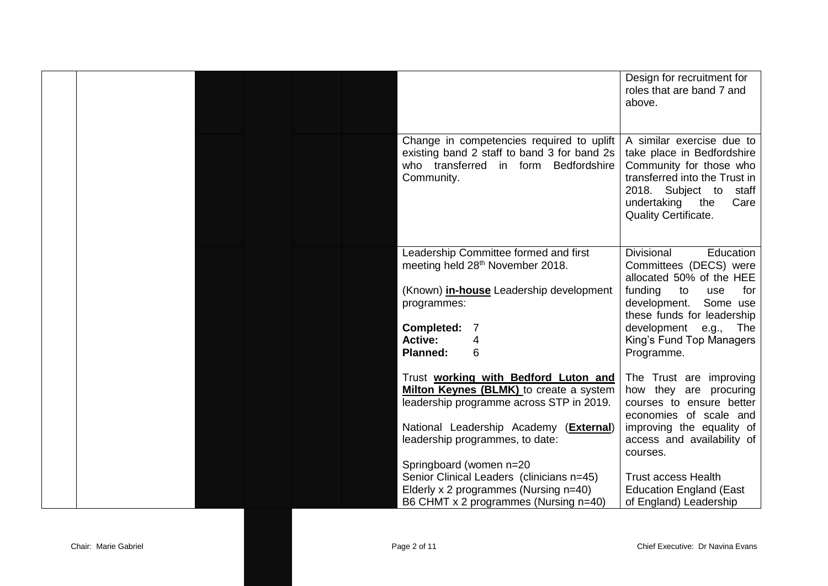|  |  |                                                                                                                                                             | Design for recruitment for<br>roles that are band 7 and<br>above.                                                                                                                                       |
|--|--|-------------------------------------------------------------------------------------------------------------------------------------------------------------|---------------------------------------------------------------------------------------------------------------------------------------------------------------------------------------------------------|
|  |  | Change in competencies required to uplift<br>existing band 2 staff to band 3 for band 2s<br>who transferred<br>in form<br><b>Bedfordshire</b><br>Community. | A similar exercise due to<br>take place in Bedfordshire<br>Community for those who<br>transferred into the Trust in<br>2018. Subject to staff<br>undertaking the<br>Care<br><b>Quality Certificate.</b> |
|  |  | Leadership Committee formed and first                                                                                                                       | <b>Divisional</b><br>Education                                                                                                                                                                          |
|  |  | meeting held 28 <sup>th</sup> November 2018.                                                                                                                | Committees (DECS) were<br>allocated 50% of the HEE                                                                                                                                                      |
|  |  | (Known) <i>in-house</i> Leadership development                                                                                                              | funding<br>for<br>to<br>use                                                                                                                                                                             |
|  |  | programmes:                                                                                                                                                 | Some use<br>development.<br>these funds for leadership                                                                                                                                                  |
|  |  | Completed:                                                                                                                                                  | development<br>The<br>e.g.,                                                                                                                                                                             |
|  |  | <b>Active:</b><br>4                                                                                                                                         | King's Fund Top Managers                                                                                                                                                                                |
|  |  | <b>Planned:</b><br>6                                                                                                                                        | Programme.                                                                                                                                                                                              |
|  |  | Trust working with Bedford Luton and                                                                                                                        | The Trust are improving                                                                                                                                                                                 |
|  |  | Milton Keynes (BLMK) to create a system                                                                                                                     | how they are procuring                                                                                                                                                                                  |
|  |  | leadership programme across STP in 2019.                                                                                                                    | courses to ensure better<br>economies of scale and                                                                                                                                                      |
|  |  | National Leadership Academy (External)                                                                                                                      | improving the equality of                                                                                                                                                                               |
|  |  | leadership programmes, to date:                                                                                                                             | access and availability of                                                                                                                                                                              |
|  |  |                                                                                                                                                             | courses.                                                                                                                                                                                                |
|  |  | Springboard (women n=20<br>Senior Clinical Leaders (clinicians n=45)                                                                                        | <b>Trust access Health</b>                                                                                                                                                                              |
|  |  | Elderly x 2 programmes (Nursing n=40)                                                                                                                       | <b>Education England (East</b>                                                                                                                                                                          |
|  |  | B6 CHMT x 2 programmes (Nursing n=40)                                                                                                                       | of England) Leadership                                                                                                                                                                                  |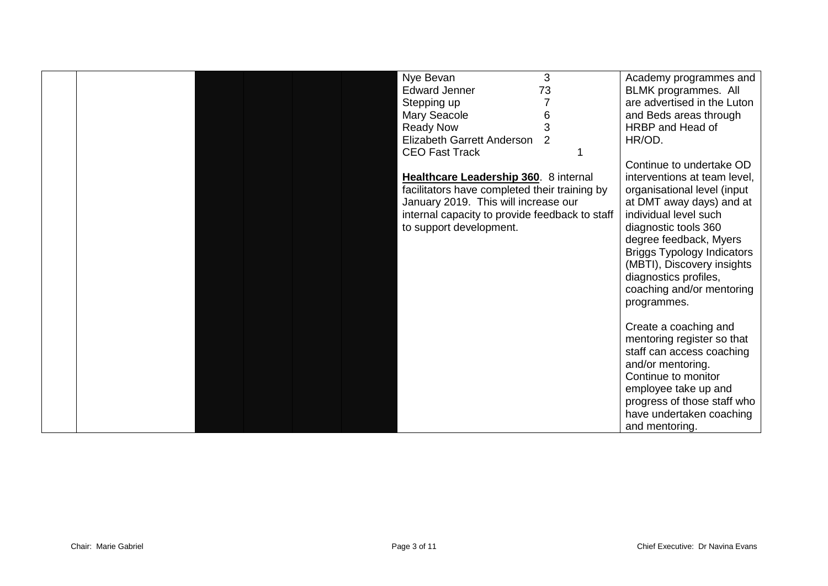|  |  | Nye Bevan                                      | 3  | Academy programmes and            |
|--|--|------------------------------------------------|----|-----------------------------------|
|  |  | <b>Edward Jenner</b>                           | 73 | BLMK programmes. All              |
|  |  | Stepping up                                    |    | are advertised in the Luton       |
|  |  | Mary Seacole                                   | 6  | and Beds areas through            |
|  |  | <b>Ready Now</b>                               |    | HRBP and Head of                  |
|  |  | Elizabeth Garrett Anderson                     | 2  | HR/OD.                            |
|  |  | <b>CEO Fast Track</b>                          |    |                                   |
|  |  |                                                |    | Continue to undertake OD          |
|  |  | Healthcare Leadership 360. 8 internal          |    | interventions at team level,      |
|  |  | facilitators have completed their training by  |    | organisational level (input       |
|  |  | January 2019. This will increase our           |    | at DMT away days) and at          |
|  |  | internal capacity to provide feedback to staff |    | individual level such             |
|  |  | to support development.                        |    | diagnostic tools 360              |
|  |  |                                                |    | degree feedback, Myers            |
|  |  |                                                |    | <b>Briggs Typology Indicators</b> |
|  |  |                                                |    | (MBTI), Discovery insights        |
|  |  |                                                |    | diagnostics profiles,             |
|  |  |                                                |    | coaching and/or mentoring         |
|  |  |                                                |    | programmes.                       |
|  |  |                                                |    |                                   |
|  |  |                                                |    | Create a coaching and             |
|  |  |                                                |    | mentoring register so that        |
|  |  |                                                |    | staff can access coaching         |
|  |  |                                                |    |                                   |
|  |  |                                                |    | and/or mentoring.                 |
|  |  |                                                |    | Continue to monitor               |
|  |  |                                                |    | employee take up and              |
|  |  |                                                |    | progress of those staff who       |
|  |  |                                                |    | have undertaken coaching          |
|  |  |                                                |    | and mentoring.                    |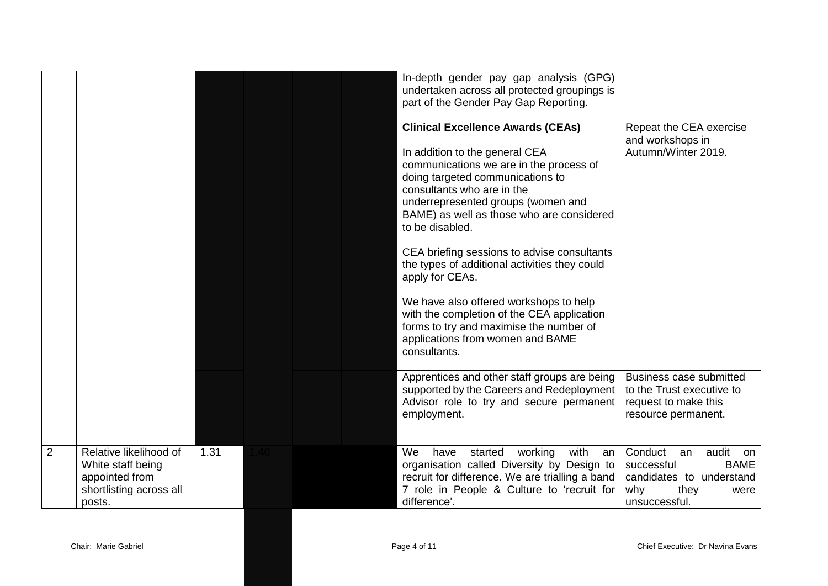|                |                                                                                                    |      |  | In-depth gender pay gap analysis (GPG)<br>undertaken across all protected groupings is<br>part of the Gender Pay Gap Reporting.                                                                                                                                                                                                              |                                                                                                                               |
|----------------|----------------------------------------------------------------------------------------------------|------|--|----------------------------------------------------------------------------------------------------------------------------------------------------------------------------------------------------------------------------------------------------------------------------------------------------------------------------------------------|-------------------------------------------------------------------------------------------------------------------------------|
|                |                                                                                                    |      |  | <b>Clinical Excellence Awards (CEAs)</b><br>In addition to the general CEA<br>communications we are in the process of<br>doing targeted communications to<br>consultants who are in the<br>underrepresented groups (women and<br>BAME) as well as those who are considered<br>to be disabled.<br>CEA briefing sessions to advise consultants | Repeat the CEA exercise<br>and workshops in<br>Autumn/Winter 2019.                                                            |
|                |                                                                                                    |      |  | the types of additional activities they could<br>apply for CEAs.<br>We have also offered workshops to help                                                                                                                                                                                                                                   |                                                                                                                               |
|                |                                                                                                    |      |  | with the completion of the CEA application<br>forms to try and maximise the number of<br>applications from women and BAME<br>consultants.                                                                                                                                                                                                    |                                                                                                                               |
|                |                                                                                                    |      |  | Apprentices and other staff groups are being<br>supported by the Careers and Redeployment<br>Advisor role to try and secure permanent<br>employment.                                                                                                                                                                                         | <b>Business case submitted</b><br>to the Trust executive to<br>request to make this<br>resource permanent.                    |
| $\overline{2}$ | Relative likelihood of<br>White staff being<br>appointed from<br>shortlisting across all<br>posts. | 1.31 |  | We<br>started<br>with<br>have<br>working<br>an I<br>organisation called Diversity by Design to<br>recruit for difference. We are trialling a band<br>7 role in People & Culture to 'recruit for<br>difference'.                                                                                                                              | audit<br>Conduct<br>an<br>on<br>successful<br><b>BAME</b><br>candidates to understand<br>why<br>they<br>were<br>unsuccessful. |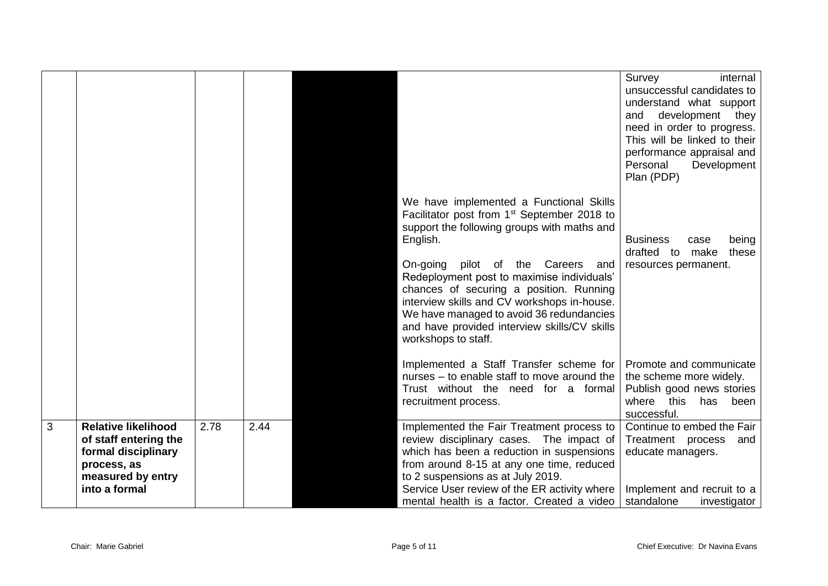|   |                                                                                                                                 |      |      |                                                                                                                                                                                                                                                                                                                                                                                                                                                                  | Survey<br>internal<br>unsuccessful candidates to<br>understand what support<br>development they<br>and<br>need in order to progress.<br>This will be linked to their<br>performance appraisal and<br>Personal<br>Development<br>Plan (PDP) |
|---|---------------------------------------------------------------------------------------------------------------------------------|------|------|------------------------------------------------------------------------------------------------------------------------------------------------------------------------------------------------------------------------------------------------------------------------------------------------------------------------------------------------------------------------------------------------------------------------------------------------------------------|--------------------------------------------------------------------------------------------------------------------------------------------------------------------------------------------------------------------------------------------|
|   |                                                                                                                                 |      |      | We have implemented a Functional Skills<br>Facilitator post from 1 <sup>st</sup> September 2018 to<br>support the following groups with maths and<br>English.<br>On-going<br>pilot of the Careers and<br>Redeployment post to maximise individuals'<br>chances of securing a position. Running<br>interview skills and CV workshops in-house.<br>We have managed to avoid 36 redundancies<br>and have provided interview skills/CV skills<br>workshops to staff. | <b>Business</b><br>being<br>case<br>drafted to make<br>these<br>resources permanent.                                                                                                                                                       |
|   |                                                                                                                                 |      |      | Implemented a Staff Transfer scheme for<br>nurses - to enable staff to move around the<br>Trust without the need for a formal<br>recruitment process.                                                                                                                                                                                                                                                                                                            | Promote and communicate<br>the scheme more widely.<br>Publish good news stories<br>where this<br>has<br>been<br>successful.                                                                                                                |
| 3 | <b>Relative likelihood</b><br>of staff entering the<br>formal disciplinary<br>process, as<br>measured by entry<br>into a formal | 2.78 | 2.44 | Implemented the Fair Treatment process to<br>review disciplinary cases. The impact of<br>which has been a reduction in suspensions<br>from around 8-15 at any one time, reduced<br>to 2 suspensions as at July 2019.<br>Service User review of the ER activity where<br>mental health is a factor. Created a video                                                                                                                                               | Continue to embed the Fair<br>Treatment process<br>and<br>educate managers.<br>Implement and recruit to a<br>standalone<br>investigator                                                                                                    |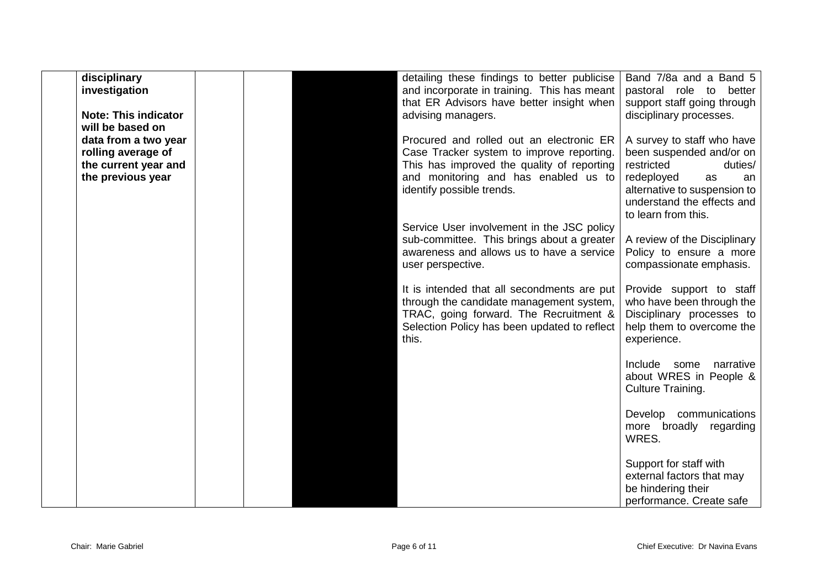| disciplinary<br>investigation<br><b>Note: This indicator</b><br>will be based on        |  | detailing these findings to better publicise<br>and incorporate in training. This has meant<br>that ER Advisors have better insight when<br>advising managers.                                           | Band 7/8a and a Band 5<br>pastoral role to better<br>support staff going through<br>disciplinary processes.                                                                                    |
|-----------------------------------------------------------------------------------------|--|----------------------------------------------------------------------------------------------------------------------------------------------------------------------------------------------------------|------------------------------------------------------------------------------------------------------------------------------------------------------------------------------------------------|
| data from a two year<br>rolling average of<br>the current year and<br>the previous year |  | Procured and rolled out an electronic ER<br>Case Tracker system to improve reporting.<br>This has improved the quality of reporting<br>and monitoring and has enabled us to<br>identify possible trends. | A survey to staff who have<br>been suspended and/or on<br>restricted<br>duties/<br>redeployed<br>as<br>an<br>alternative to suspension to<br>understand the effects and<br>to learn from this. |
|                                                                                         |  | Service User involvement in the JSC policy<br>sub-committee. This brings about a greater<br>awareness and allows us to have a service<br>user perspective.                                               | A review of the Disciplinary<br>Policy to ensure a more<br>compassionate emphasis.                                                                                                             |
|                                                                                         |  | It is intended that all secondments are put<br>through the candidate management system,<br>TRAC, going forward. The Recruitment &<br>Selection Policy has been updated to reflect<br>this.               | Provide support to staff<br>who have been through the<br>Disciplinary processes to<br>help them to overcome the<br>experience.                                                                 |
|                                                                                         |  |                                                                                                                                                                                                          | Include<br>some narrative<br>about WRES in People &<br>Culture Training.                                                                                                                       |
|                                                                                         |  |                                                                                                                                                                                                          | Develop communications<br>more broadly regarding<br>WRES.                                                                                                                                      |
|                                                                                         |  |                                                                                                                                                                                                          | Support for staff with<br>external factors that may<br>be hindering their<br>performance. Create safe                                                                                          |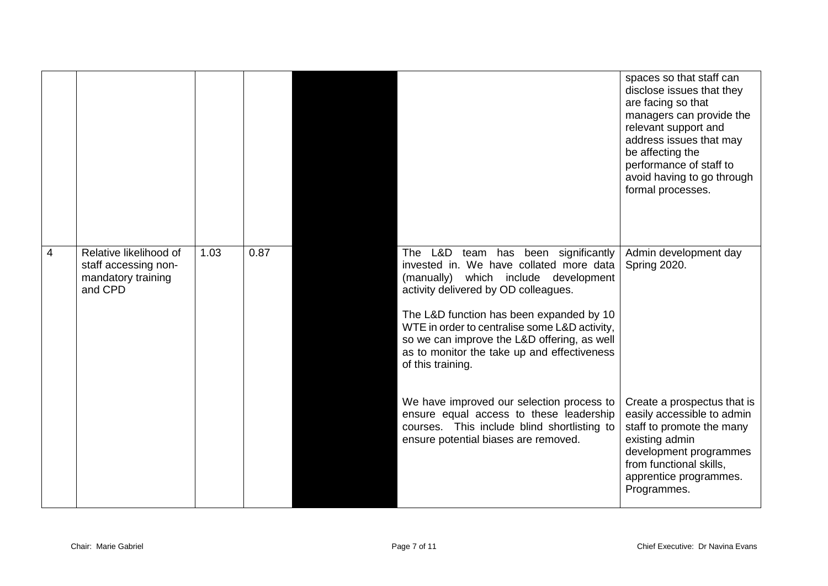|                |                                                                                 |      |      |                                                                                                                                                                                                                                                                                                                                                                                | spaces so that staff can<br>disclose issues that they<br>are facing so that<br>managers can provide the<br>relevant support and<br>address issues that may<br>be affecting the<br>performance of staff to<br>avoid having to go through<br>formal processes. |
|----------------|---------------------------------------------------------------------------------|------|------|--------------------------------------------------------------------------------------------------------------------------------------------------------------------------------------------------------------------------------------------------------------------------------------------------------------------------------------------------------------------------------|--------------------------------------------------------------------------------------------------------------------------------------------------------------------------------------------------------------------------------------------------------------|
| $\overline{4}$ | Relative likelihood of<br>staff accessing non-<br>mandatory training<br>and CPD | 1.03 | 0.87 | The L&D team has been significantly<br>invested in. We have collated more data<br>(manually) which include development<br>activity delivered by OD colleagues.<br>The L&D function has been expanded by 10<br>WTE in order to centralise some L&D activity,<br>so we can improve the L&D offering, as well<br>as to monitor the take up and effectiveness<br>of this training. | Admin development day<br>Spring 2020.                                                                                                                                                                                                                        |
|                |                                                                                 |      |      | We have improved our selection process to<br>ensure equal access to these leadership<br>courses. This include blind shortlisting to<br>ensure potential biases are removed.                                                                                                                                                                                                    | Create a prospectus that is<br>easily accessible to admin<br>staff to promote the many<br>existing admin<br>development programmes<br>from functional skills,<br>apprentice programmes.<br>Programmes.                                                       |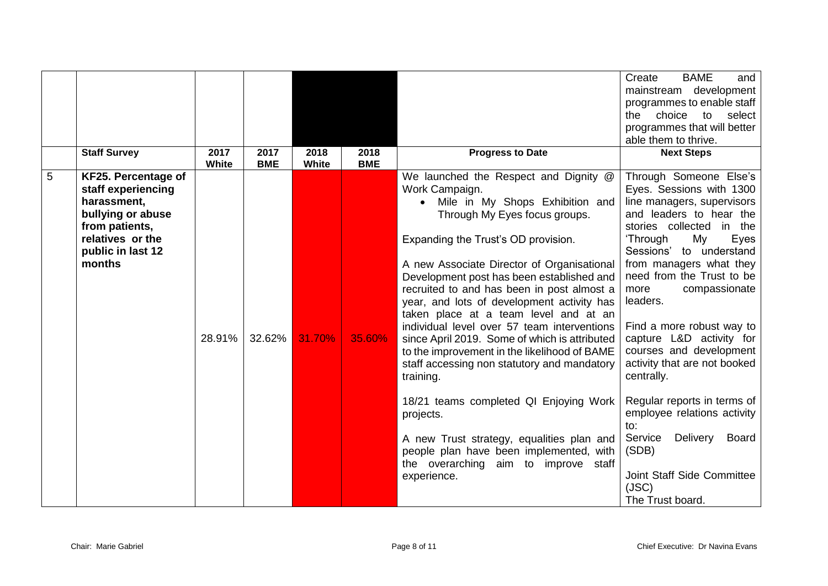|   | <b>Staff Survey</b>                                                                                                                                | 2017<br>White | 2017<br><b>BME</b> | 2018<br>White | 2018<br><b>BME</b> | <b>Progress to Date</b>                                                                                                                                                                                                                                                                                                                                                                                                                                                                                                                                                                                                                                                                                                                                                                                              | <b>BAME</b><br>Create<br>and<br>mainstream development<br>programmes to enable staff<br>the choice to<br>select<br>programmes that will better<br>able them to thrive.<br><b>Next Steps</b>                                                                                                                                                                                                                                                                                                                                                                                                                 |
|---|----------------------------------------------------------------------------------------------------------------------------------------------------|---------------|--------------------|---------------|--------------------|----------------------------------------------------------------------------------------------------------------------------------------------------------------------------------------------------------------------------------------------------------------------------------------------------------------------------------------------------------------------------------------------------------------------------------------------------------------------------------------------------------------------------------------------------------------------------------------------------------------------------------------------------------------------------------------------------------------------------------------------------------------------------------------------------------------------|-------------------------------------------------------------------------------------------------------------------------------------------------------------------------------------------------------------------------------------------------------------------------------------------------------------------------------------------------------------------------------------------------------------------------------------------------------------------------------------------------------------------------------------------------------------------------------------------------------------|
| 5 | KF25. Percentage of<br>staff experiencing<br>harassment,<br>bullying or abuse<br>from patients,<br>relatives or the<br>public in last 12<br>months | 28.91%        | 32.62%             | 31.70%        | 35.60%             | We launched the Respect and Dignity @<br>Work Campaign.<br>Mile in My Shops Exhibition and<br>Through My Eyes focus groups.<br>Expanding the Trust's OD provision.<br>A new Associate Director of Organisational<br>Development post has been established and<br>recruited to and has been in post almost a<br>year, and lots of development activity has<br>taken place at a team level and at an<br>individual level over 57 team interventions<br>since April 2019. Some of which is attributed<br>to the improvement in the likelihood of BAME<br>staff accessing non statutory and mandatory<br>training.<br>18/21 teams completed QI Enjoying Work<br>projects.<br>A new Trust strategy, equalities plan and<br>people plan have been implemented, with<br>the overarching aim to improve staff<br>experience. | Through Someone Else's<br>Eyes. Sessions with 1300<br>line managers, supervisors<br>and leaders to hear the<br>stories collected in the<br>'Through<br>My<br>Eyes<br>Sessions' to understand<br>from managers what they<br>need from the Trust to be<br>compassionate<br>more<br>leaders.<br>Find a more robust way to<br>capture L&D activity for<br>courses and development<br>activity that are not booked<br>centrally.<br>Regular reports in terms of<br>employee relations activity<br>to:<br>Service<br>Delivery<br><b>Board</b><br>(SDB)<br>Joint Staff Side Committee<br>(JSC)<br>The Trust board. |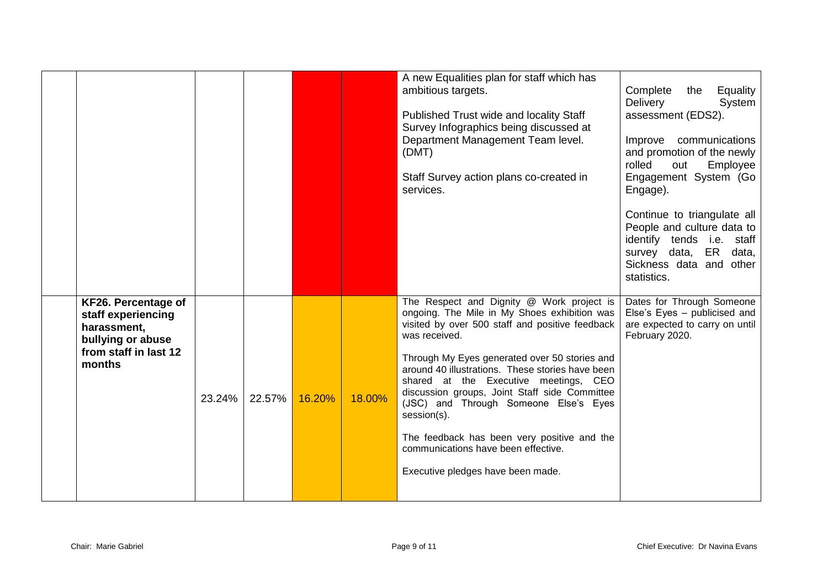|                                                                                                                  |        |        |        |        | A new Equalities plan for staff which has<br>ambitious targets.<br>Published Trust wide and locality Staff<br>Survey Infographics being discussed at<br>Department Management Team level.<br>(DMT)<br>Staff Survey action plans co-created in<br>services.                                                                                                                                                                                                                                                                                      | Complete<br>Equality<br>the<br>Delivery<br>System<br>assessment (EDS2).<br>Improve communications<br>and promotion of the newly<br>rolled<br>out<br>Employee<br>Engagement System (Go<br>Engage).<br>Continue to triangulate all<br>People and culture data to<br>identify tends i.e. staff<br>survey data, ER data,<br>Sickness data and other<br>statistics. |
|------------------------------------------------------------------------------------------------------------------|--------|--------|--------|--------|-------------------------------------------------------------------------------------------------------------------------------------------------------------------------------------------------------------------------------------------------------------------------------------------------------------------------------------------------------------------------------------------------------------------------------------------------------------------------------------------------------------------------------------------------|----------------------------------------------------------------------------------------------------------------------------------------------------------------------------------------------------------------------------------------------------------------------------------------------------------------------------------------------------------------|
| KF26. Percentage of<br>staff experiencing<br>harassment,<br>bullying or abuse<br>from staff in last 12<br>months | 23.24% | 22.57% | 16.20% | 18.00% | The Respect and Dignity @ Work project is<br>ongoing. The Mile in My Shoes exhibition was<br>visited by over 500 staff and positive feedback<br>was received.<br>Through My Eyes generated over 50 stories and<br>around 40 illustrations. These stories have been<br>shared at the Executive meetings, CEO<br>discussion groups, Joint Staff side Committee<br>(JSC) and Through Someone Else's Eyes<br>session(s).<br>The feedback has been very positive and the<br>communications have been effective.<br>Executive pledges have been made. | Dates for Through Someone<br>Else's Eyes - publicised and<br>are expected to carry on until<br>February 2020.                                                                                                                                                                                                                                                  |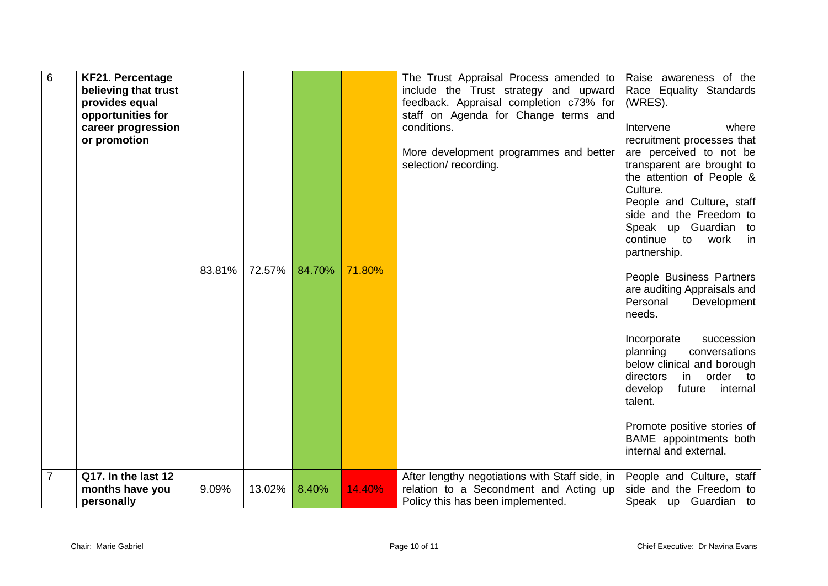| $6\phantom{1}$ | <b>KF21. Percentage</b><br>believing that trust<br>provides equal<br>opportunities for<br>career progression<br>or promotion | 83.81% | 72.57% | 84.70% | 71.80% | The Trust Appraisal Process amended to<br>include the Trust strategy and upward<br>feedback. Appraisal completion c73% for<br>staff on Agenda for Change terms and<br>conditions.<br>More development programmes and better<br>selection/ recording. | Raise awareness of the<br>Race Equality Standards<br>(WRES).<br>Intervene<br>where<br>recruitment processes that<br>are perceived to not be<br>transparent are brought to<br>the attention of People &<br>Culture.<br>People and Culture, staff<br>side and the Freedom to<br>Speak up Guardian to<br>continue to<br>work<br>in<br>partnership.<br>People Business Partners<br>are auditing Appraisals and<br>Personal<br>Development<br>needs.<br>Incorporate<br>succession<br>conversations<br>planning<br>below clinical and borough<br>in<br>order<br>directors<br>to:<br>develop<br>future<br>internal<br>talent.<br>Promote positive stories of<br>BAME appointments both<br>internal and external. |
|----------------|------------------------------------------------------------------------------------------------------------------------------|--------|--------|--------|--------|------------------------------------------------------------------------------------------------------------------------------------------------------------------------------------------------------------------------------------------------------|-----------------------------------------------------------------------------------------------------------------------------------------------------------------------------------------------------------------------------------------------------------------------------------------------------------------------------------------------------------------------------------------------------------------------------------------------------------------------------------------------------------------------------------------------------------------------------------------------------------------------------------------------------------------------------------------------------------|
| 7              | Q17. In the last 12<br>months have you<br>personally                                                                         | 9.09%  | 13.02% | 8.40%  | 14.40% | After lengthy negotiations with Staff side, in<br>relation to a Secondment and Acting up<br>Policy this has been implemented.                                                                                                                        | People and Culture, staff<br>side and the Freedom to<br>Speak up Guardian to                                                                                                                                                                                                                                                                                                                                                                                                                                                                                                                                                                                                                              |